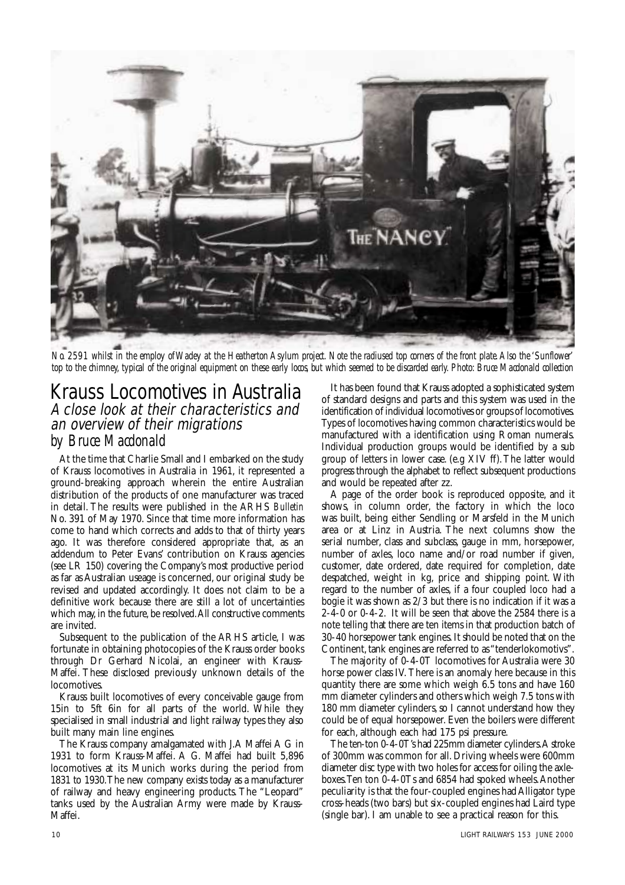

*No. 2591 whilst in the employ of Wadey at the Heatherton Asylum project. Note the radiused top corners of the front plate.Also the 'Sunflower' top to the chimney, typical of the original equipment on these early locos, but which seemed to be discarded early. Photo: Bruce Macdonald collection*

# Krauss Locomotives in Australia A close look at their characteristics and an overview of their migrations

*by Bruce Macdonald*

At the time that Charlie Small and I embarked on the study of Krauss locomotives in Australia in 1961, it represented a ground-breaking approach wherein the entire Australian distribution of the products of one manufacturer was traced in detail. The results were published in the ARHS *Bulletin* No. 391 of May 1970. Since that time more information has come to hand which corrects and adds to that of thirty years ago. It was therefore considered appropriate that, as an addendum to Peter Evans' contribution on Krauss agencies (see LR 150) covering the Company's most productive period as far as Australian useage is concerned, our original study be revised and updated accordingly. It does not claim to be a definitive work because there are still a lot of uncertainties which may, in the future, be resolved. All constructive comments are invited.

Subsequent to the publication of the ARHS article, I was fortunate in obtaining photocopies of the Krauss order books through Dr Gerhard Nicolai, an engineer with Krauss-Maffei. These disclosed previously unknown details of the locomotives.

Krauss built locomotives of every conceivable gauge from 15in to 5ft 6in for all parts of the world. While they specialised in small industrial and light railway types they also built many main line engines.

The Krauss company amalgamated with J.A Maffei A G in 1931 to form Krauss-Maffei. A G. Maffei had built 5,896 locomotives at its Munich works during the period from 1831 to 1930.The new company exists today as a manufacturer of railway and heavy engineering products. The "Leopard" tanks used by the Australian Army were made by Krauss-Maffei.

It has been found that Krauss adopted a sophisticated system of standard designs and parts and this system was used in the identification of individual locomotives or groups of locomotives. Types of locomotives having common characteristics would be manufactured with a identification using Roman numerals. Individual production groups would be identified by a sub group of letters in lower case. (e.g XIV ff).The latter would progress through the alphabet to reflect subsequent productions and would be repeated after zz.

A page of the order book is reproduced opposite, and it shows, in column order, the factory in which the loco was built, being either Sendling or Marsfeld in the Munich area or at Linz in Austria. The next columns show the serial number, class and subclass, gauge in mm, horsepower, number of axles, loco name and/or road number if given, customer, date ordered, date required for completion, date despatched, weight in kg, price and shipping point. With regard to the number of axles, if a four coupled loco had a bogie it was shown as 2/3 but there is no indication if it was a  $2-\overline{4}-0$  or  $0-4-2$ . It will be seen that above the 2584 there is a note telling that there are ten items in that production batch of 30-40 horsepower tank engines.It should be noted that on the Continent, tank engines are referred to as "tenderlokomotivs".

The majority of 0-4-0T locomotives for Australia were 30 horse power class IV. There is an anomaly here because in this quantity there are some which weigh 6.5 tons and have 160 mm diameter cylinders and others which weigh 7.5 tons with 180 mm diameter cylinders, so I cannot understand how they could be of equal horsepower. Even the boilers were different for each, although each had 175 psi pressure.

The ten-ton 0-4-0T's had 225mm diameter cylinders.A stroke of 300mm was common for all. Driving wheels were 600mm diameter disc type with two holes for access for oiling the axleboxes.Ten ton 0-4-0Ts and 6854 had spoked wheels.Another peculiarity is that the four-coupled engines had Alligator type cross-heads (two bars) but six-coupled engines had Laird type (single bar). I am unable to see a practical reason for this.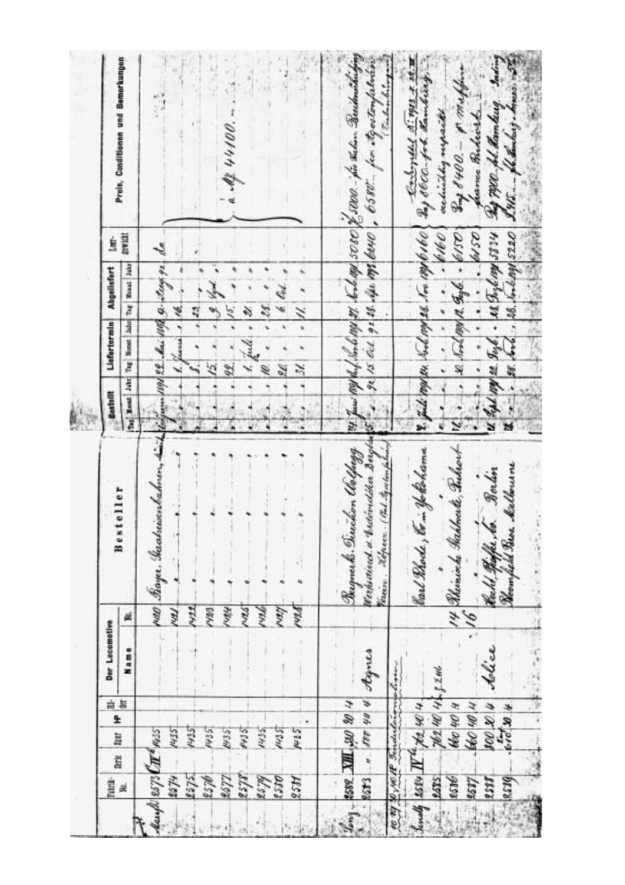| 74 June 109 K. L. Son le 199 27. Son la 29 3000 E 5000. Jos Talen Beachman Chinging<br>32 15 Oct 92 28. Apr 1999 6040 , 6580 - for My ostenfalman<br>k let<br>Z.<br>î<br>B<br>$\tilde{\mathcal{X}}$<br>Rugnerk . Tiwision Walpagg<br>ms<br>Pin<br>lith<br>thenes<br>A 04 420 A<br>2582 XIII, 310 80 4<br>14.35<br>p.1.11<br>1435<br>R579<br>0858<br>4234<br>2533<br>$\mathcal{L}$ ong - | deach 2573 $C\pi^*$ 1455<br>Serte<br>8578<br>2677<br>2574<br>525<br>K?S<br>Paint-<br>灵 | N351<br>1435<br>LSEM<br>lig<br>554<br>1435 | £ | 白启 | Der Locomotive<br>Name | 7.22<br>7.16<br>Hill<br>PWA <sub>3</sub><br>KW.<br>ø | يمنشه<br>180 Bayer, Gashrisonbahnen,<br>Besteller          | Tog Ment Jake<br>Bestellt                                                                                       | r. fuli<br>QC.       | 1891 22 Mai 1890 9-2009 92<br>Tag   Noost   Jabr   Tag   Menat   Jahr<br>Liefertermin Abgeliefert<br>ř<br>16. | awatt<br>ģ<br>s, | Preis, Conditionen und Bemerkungen<br>$1.4844400$ .                |
|-----------------------------------------------------------------------------------------------------------------------------------------------------------------------------------------------------------------------------------------------------------------------------------------------------------------------------------------------------------------------------------------|----------------------------------------------------------------------------------------|--------------------------------------------|---|----|------------------------|------------------------------------------------------|------------------------------------------------------------|-----------------------------------------------------------------------------------------------------------------|----------------------|---------------------------------------------------------------------------------------------------------------|------------------|--------------------------------------------------------------------|
| <i>Vaccion</i>                                                                                                                                                                                                                                                                                                                                                                          |                                                                                        |                                            |   |    |                        |                                                      | Werkvaierd of Mateindiker Bergh                            | W                                                                                                               |                      |                                                                                                               |                  |                                                                    |
|                                                                                                                                                                                                                                                                                                                                                                                         | 8539<br>8537<br>LEST.                                                                  | $100 - 104$<br>40 W H<br>$610^{10}$        |   | ß  | telice                 | 91.                                                  | held These Melbourne<br>Borlin<br>Ruhl Haffer bo.<br>Rooms | $u$ sept 109 as $g_{\alpha\beta}$ . In $g_{\alpha\beta}$ as $\int u^{\alpha}$<br>$\overline{\mathbf{r}}$<br>Øst | $\ddot{\phantom{0}}$ | $-88.4 - 6.18.1 - 220$                                                                                        | 25.19            | Sod.<br>This 7400 fol. Hamburg.<br>panea miderit<br>IW. - Hamburg. |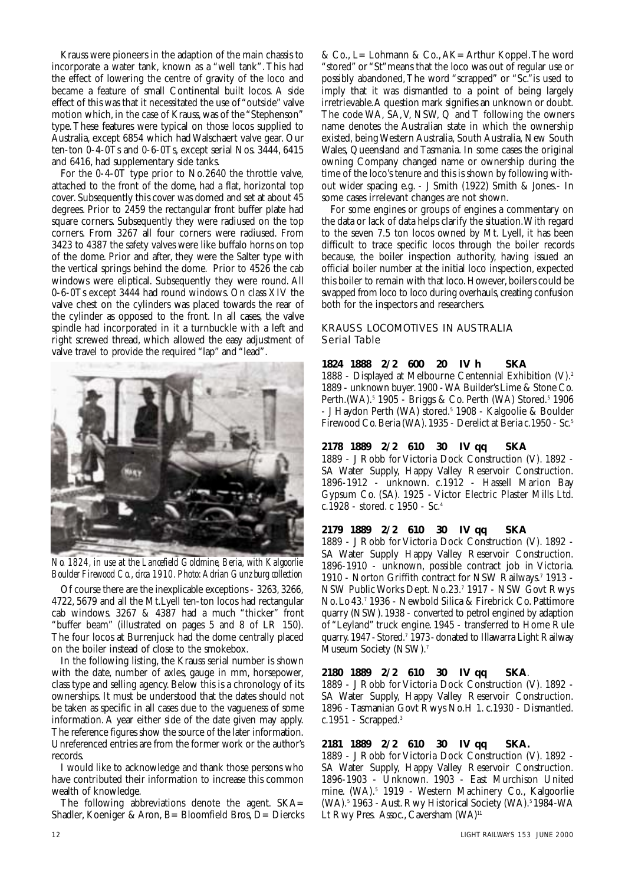Krauss were pioneers in the adaption of the main chassis to incorporate a water tank, known as a "well tank". This had the effect of lowering the centre of gravity of the loco and became a feature of small Continental built locos. A side effect of this was that it necessitated the use of "outside" valve motion which, in the case of Krauss, was of the "Stephenson" type.These features were typical on those locos supplied to Australia, except 6854 which had Walschaert valve gear. Our ten-ton 0-4-0Ts and 0-6-0Ts, except serial Nos. 3444, 6415 and 6416, had supplementary side tanks.

For the 0-4-0T type prior to No.2640 the throttle valve, attached to the front of the dome, had a flat, horizontal top cover. Subsequently this cover was domed and set at about 45 degrees. Prior to 2459 the rectangular front buffer plate had square corners. Subsequently they were radiused on the top corners. From 3267 all four corners were radiused. From 3423 to 4387 the safety valves were like buffalo horns on top of the dome. Prior and after, they were the Salter type with the vertical springs behind the dome. Prior to 4526 the cab windows were eliptical. Subsequently they were round. All 0-6-0Ts except 3444 had round windows. On class XIV the valve chest on the cylinders was placed towards the rear of the cylinder as opposed to the front. In all cases, the valve spindle had incorporated in it a turnbuckle with a left and right screwed thread, which allowed the easy adjustment of valve travel to provide the required "lap" and "lead".



*No. 1824, in use at the Lancefield Goldmine, Beria, with Kalgoorlie Boulder Firewood Co.,circa 1910.Photo:Adrian Gunzburg collection*

Of course there are the inexplicable exceptions - 3263, 3266, 4722, 5679 and all the Mt.Lyell ten-ton locos had rectangular cab windows. 3267 & 4387 had a much "thicker" front "buffer beam" (illustrated on pages 5 and 8 of LR 150). The four locos at Burrenjuck had the dome centrally placed on the boiler instead of close to the smokebox.

In the following listing, the Krauss serial number is shown with the date, number of axles, gauge in mm, horsepower, class type and selling agency. Below this is a chronology of its ownerships. It must be understood that the dates should not be taken as specific in all cases due to the vagueness of some information. A year either side of the date given may apply. The reference figures show the source of the later information. Unreferenced entries are from the former work or the author's records.

I would like to acknowledge and thank those persons who have contributed their information to increase this common wealth of knowledge.

The following abbreviations denote the agent. SKA= Shadler, Koeniger & Aron, B= Bloomfield Bros, D= Diercks & Co., L= Lohmann & Co.,AK= Arthur Koppel.The word "stored" or "St"means that the loco was out of regular use or possibly abandoned,The word "scrapped" or "Sc."is used to imply that it was dismantled to a point of being largely irretrievable.A question mark signifies an unknown or doubt. The code WA, SA,V, NSW, Q and T following the owners name denotes the Australian state in which the ownership existed, being Western Australia, South Australia, New South Wales, Queensland and Tasmania. In some cases the original owning Company changed name or ownership during the time of the loco's tenure and this is shown by following without wider spacing e.g. - J Smith (1922) Smith & Jones.- In some cases irrelevant changes are not shown.

For some engines or groups of engines a commentary on the data or lack of data helps clarify the situation.With regard to the seven 7.5 ton locos owned by Mt. Lyell, it has been difficult to trace specific locos through the boiler records because, the boiler inspection authority, having issued an official boiler number at the initial loco inspection, expected this boiler to remain with that loco. However, boilers could be swapped from loco to loco during overhauls, creating confusion both for the inspectors and researchers.

# KRAUSS LOCOMOTIVES IN AUSTRALIA Serial Table

## **1824 1888 2/2 600 20 IV h SKA**

1888 - Displayed at Melbourne Centennial Exhibition (V).2 1889 - unknown buyer.1900 - WA Builder's Lime & Stone Co. Perth.(WA).<sup>5</sup> 1905 - Briggs & Co. Perth (WA) Stored.<sup>5</sup> 1906 - J Haydon Perth (WA) stored.<sup>5</sup> 1908 - Kalgoolie & Boulder Firewood Co.Beria (WA).1935 - Derelict at Beria c.1950 - Sc.5

# **2178 1889 2/2 610 30 IV qq SKA**

1889 - J Robb for Victoria Dock Construction (V). 1892 - SA Water Supply, Happy Valley Reservoir Construction. 1896-1912 - unknown. c.1912 - Hassell Marion Bay Gypsum Co. (SA). 1925 - Victor Electric Plaster Mills Ltd. c.1928 - stored. c 1950 - Sc.4

## **2179 1889 2/2 610 30 IV qq SKA**

1889 - J Robb for Victoria Dock Construction (V). 1892 - SA Water Supply Happy Valley Reservoir Construction. 1896-1910 - unknown, possible contract job in Victoria. 1910 - Norton Griffith contract for NSW Railways.7 1913 - NSW Public Works Dept. No.23.7 1917 - NSW Govt Rwys No.Lo43.7 1936 - Newbold Silica & Firebrick Co. Pattimore quarry (NSW).1938 - converted to petrol engined by adaption of "Leyland" truck engine. 1945 - transferred to Home Rule quarry. 1947 - Stored.<sup>7</sup> 1973 - donated to Illawarra Light Railway Museum Society (NSW).7

# **2180 1889 2/2 610 30 IV qq SKA**.

1889 - J Robb for Victoria Dock Construction (V). 1892 - SA Water Supply, Happy Valley Reservoir Construction. 1896 - Tasmanian Govt Rwys No.H 1. c.1930 - Dismantled. c.1951 - Scrapped.3

## **2181 1889 2/2 610 30 IV qq SKA.**

1889 - J Robb for Victoria Dock Construction (V). 1892 - SA Water Supply, Happy Valley Reservoir Construction. 1896-1903 - Unknown. 1903 - East Murchison United mine. (WA).<sup>5</sup> 1919 - Western Machinery Co., Kalgoorlie (WA).<sup>5</sup> 1963 - Aust. Rwy Historical Society (WA).<sup>5</sup> 1984-WA Lt Rwy Pres. Assoc., Caversham (WA)<sup>11</sup>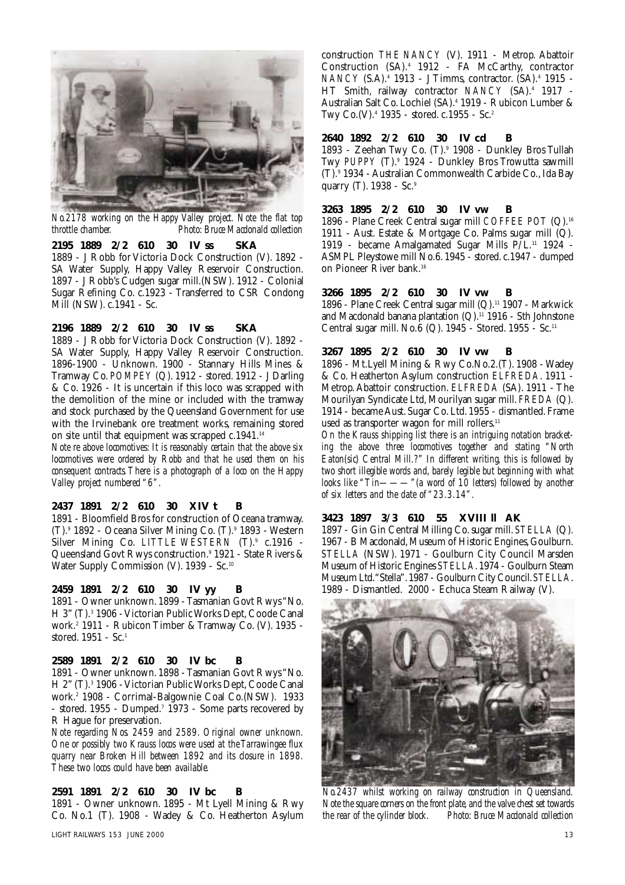

*No.2178 working on the Happy Valley project. Note the flat top throttle chamber. Photo: Bruce Macdonald collection*

# **2195 1889 2/2 610 30 IV ss SKA**

1889 - J Robb for Victoria Dock Construction (V). 1892 - SA Water Supply, Happy Valley Reservoir Construction. 1897 - J Robb's Cudgen sugar mill.(NSW). 1912 - Colonial Sugar Refining Co. c.1923 - Transferred to CSR Condong Mill (NSW). c.1941 - Sc.

# **2196 1889 2/2 610 30 IV ss SKA**

1889 - J Robb for Victoria Dock Construction (V). 1892 - SA Water Supply, Happy Valley Reservoir Construction. 1896-1900 - Unknown. 1900 - Stannary Hills Mines & Tramway Co. *POMPEY* (Q). 1912 - stored. 1912 - J Darling & Co. 1926 - It is uncertain if this loco was scrapped with the demolition of the mine or included with the tramway and stock purchased by the Queensland Government for use with the Irvinebank ore treatment works, remaining stored on site until that equipment was scrapped c.1941.<sup>14</sup>

*Note re above locomotives: It is reasonably certain that the above six locomotives were ordered by Robb and that he used them on his consequent contracts.There is a photograph of a loco on the Happy Valley project numbered "6".*

#### **2437 1891 2/2 610 30 XIV t B**

1891 - Bloomfield Bros for construction of Oceana tramway. (T).9 1892 - Oceana Silver Mining Co. (T).9 1893 - Western Silver Mining Co. LITTLE WESTERN (T).<sup>9</sup> c.1916 -Queensland Govt Rwys construction.9 1921 - State Rivers & Water Supply Commission (V). 1939 - Sc.<sup>10</sup>

# **2459 1891 2/2 610 30 IV yy B**

1891 - Owner unknown. 1899 - Tasmanian Govt Rwys "No. H 3" (T).<sup>3</sup> 1906 - Victorian Public Works Dept, Coode Canal work.2 1911 - Rubicon Timber & Tramway Co. (V). 1935 stored. 1951 - Sc.1

#### **2589 1891 2/2 610 30 IV bc B**

1891 - Owner unknown. 1898 - Tasmanian Govt Rwys "No. H 2" (T).<sup>3</sup> 1906 - Victorian Public Works Dept, Coode Canal work.2 1908 - Corrimal-Balgownie Coal Co.(NSW). 1933 - stored. 1955 - Dumped.<sup>7</sup> 1973 - Some parts recovered by R Hague for preservation.

*Note regarding Nos. 2459 and 2589. Original owner unknown. One or possibly two Krauss locos were used at the Tarrawingee flux quarry near Broken Hill between 1892 and its closure in 1898. These two locos could have been available.*

## **2591 1891 2/2 610 30 IV bc B**

1891 - Owner unknown. 1895 - Mt Lyell Mining & Rwy Co. No.1 (T). 1908 - Wadey & Co. Heatherton Asylum construction *THE NANCY* (V). 1911 - Metrop. Abattoir Construction (SA).4 1912 - FA McCarthy, contractor *NANCY* (S.A).4 1913 - J Timms, contractor. (SA).4 1915 - HT Smith, railway contractor *NANCY* (SA).4 1917 - Australian Salt Co. Lochiel (SA).4 1919 - Rubicon Lumber & Twy Co.(V).4 1935 - stored. c.1955 - Sc.2

#### **2640 1892 2/2 610 30 IV cd B**

1893 - Zeehan Twy Co. (T).9 1908 - Dunkley Bros Tullah Twy *PUPPY* (T).9 1924 - Dunkley Bros Trowutta sawmill (T).9 1934 - Australian Commonwealth Carbide Co., Ida Bay quarry (T). 1938 - Sc.<sup>9</sup>

#### **3263 1895 2/2 610 30 IV vw B**

1896 - Plane Creek Central sugar mill *COFFEE POT* (Q).16 1911 - Aust. Estate & Mortgage Co. Palms sugar mill (Q). 1919 - became Amalgamated Sugar Mills P/L.11 1924 - ASMPL Pleystowe mill No.6. 1945 - stored. c.1947 - dumped on Pioneer River bank.16

### **3266 1895 2/2 610 30 IV vw B**

1896 - Plane Creek Central sugar mill (Q).11 1907 - Markwick and Macdonald banana plantation  $(Q)$ .<sup>11</sup> 1916 - Sth Johnstone Central sugar mill. No. $\hat{6}$  (Q). 1945 - Stored. 1955 - Sc.<sup>11</sup>

## **3267 1895 2/2 610 30 IV vw B**

1896 - Mt.Lyell Mining & Rwy Co.No.2.(T). 1908 - Wadey & Co. Heatherton Asylum construction *ELFREDA*. 1911 - Metrop. Abattoir construction. *ELFREDA* (SA). 1911 - The Mourilyan Syndicate Ltd, Mourilyan sugar mill. *FREDA* (Q). 1914 - became Aust. Sugar Co. Ltd. 1955 - dismantled. Frame used as transporter wagon for mill rollers.<sup>11</sup>

*On the Krauss shipping list there is an intriguing notation bracketing the above three locomotives together and stating "North Eaton(sic) Central Mill.?" In different writing, this is followed by two short illegible words and, barely legible but beginning with what looks like "Tin———"(a word of 10 letters) followed by another of six letters and the date of "23.3.14".*

## **3423 1897 3/3 610 55 XVIII ll AK**

1897 - Gin Gin Central Milling Co. sugar mill. *STELLA* (Q). 1967 - B Macdonald, Museum of Historic Engines, Goulburn. *STELLA* (NSW). 1971 - Goulburn City Council Marsden Museum of Historic Engines *STELLA*.1974 - Goulburn Steam Museum Ltd."Stella".1987 - Goulburn City Council.*STELLA*. 1989 - Dismantled. 2000 - Echuca Steam Railway (V).



*No.2437 whilst working on railway construction in Queensland. Note the square corners on the front plate, and the valve chest set towards the rear of the cylinder block. Photo: Bruce Macdonald collection*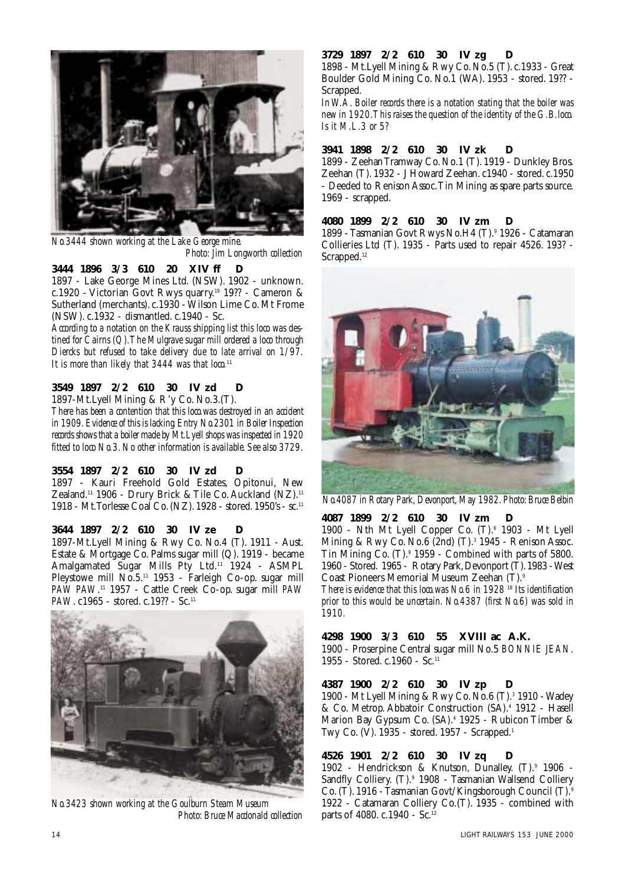

*No.3444 shown working at the Lake George mine. Photo: Jim Longworth collection*

**3444 1896 3/3 610 20 XIV ff D** 1897 - Lake George Mines Ltd. (NSW). 1902 - unknown. c.1920 - Victorian Govt Rwys quarry.19 19?? - Cameron & Sutherland (merchants). c.1930 - Wilson Lime Co. Mt Frome (NSW). c.1932 - dismantled. c.1940 - Sc.

*According to a notation on the Krauss shipping list this loco was destined for Cairns (Q).The Mulgrave sugar mill ordered a loco through Diercks but refused to take delivery due to late arrival on 1/97. It is more than likely that 3444 was that loco.*<sup>11</sup>

# **3549 1897 2/2 610 30 IV zd D**

1897-Mt.Lyell Mining & R'y Co. No.3.(T).

*There has been a contention that this loco.was destroyed in an accident in 1909.Evidence of this is lacking.Entry No.2301 in Boiler Inspection records shows that a boiler made by Mt.Lyell shops was inspected in 1920 fitted to loco No.3. No other information is available. See also 3729.*

# **3554 1897 2/2 610 30 IV zd D**

1897 - Kauri Freehold Gold Estates, Opitonui, New Zealand.11 1906 - Drury Brick & Tile Co. Auckland (NZ).11 1918 - Mt.Torlesse Coal Co.(NZ).1928 - stored.1950's - sc.11

## **3644 1897 2/2 610 30 IV ze D**

1897-Mt.Lyell Mining & Rwy Co. No.4 (T). 1911 - Aust. Estate & Mortgage Co. Palms sugar mill (Q). 1919 - became Amalgamated Sugar Mills Pty Ltd.11 1924 - ASMPL Pleystowe mill No.5.<sup>11</sup> 1953 - Farleigh Co-op. sugar mill *PAW PAW*. <sup>11</sup> 1957 - Cattle Creek Co-op. sugar mill *PAW PAW*. c1965 - stored. c.19?? - Sc.<sup>11</sup>



*No.3423 shown working at the Goulburn Steam Museum Photo: Bruce Macdonald collection*

## **3729 1897 2/2 610 30 IV zg D**

1898 - Mt.Lyell Mining & Rwy Co.No.5 (T).c.1933 - Great Boulder Gold Mining Co. No.1 (WA). 1953 - stored. 19?? - Scrapped.

*In W.A. Boiler records there is a notation stating that the boiler was new in 1920.This raises the question of the identity of the G.B.loco. Is it M.L.3 or 5?*

## **3941 1898 2/2 610 30 IV zk D**

1899 - Zeehan Tramway Co. No.1 (T). 1919 - Dunkley Bros. Zeehan (T). 1932 - J Howard Zeehan. c1940 - stored. c.1950 - Deeded to Renison Assoc.Tin Mining as spare parts source. 1969 - scrapped.

## **4080 1899 2/2 610 30 IV zm D**

1899 - Tasmanian Govt Rwys No.H4 (T).9 1926 - Catamaran Collieries Ltd (T). 1935 - Parts used to repair 4526. 193? - Scrapped.<sup>12</sup>



*No.4087 in Rotary Park,Devonport,May 1982.Photo:Bruce Belbin*

## **4087 1899 2/2 610 30 IV zm D**

1900 - Nth Mt Lyell Copper Co.  $(T)$ .<sup>6</sup> 1903 - Mt Lyell Mining & Rwy Co. No.6 (2nd)  $(T)$ .<sup>3</sup> 1945 - Renison Assoc. Tin Mining Co. (T).9 1959 - Combined with parts of 5800. 1960 - Stored. 1965 - Rotary Park,Devonport (T).1983 - West Coast Pioneers Memorial Museum Zeehan (T).9

*There is evidence that this loco.was No.6 in 1928* <sup>18</sup> *Its identification prior to this would be uncertain. No.4387 (first No.6) was sold in 1910.*

# **4298 1900 3/3 610 55 XVIII ac A.K.**

1900 - Proserpine Central sugar mill No.5 *BONNIE JEAN*. 1955 - Stored. c.1960 - Sc.11

## **4387 1900 2/2 610 30 IV zp D**

1900 - Mt Lyell Mining & Rwy Co. No.6 (T).3 1910 - Wadey & Co. Metrop. Abbatoir Construction (SA).4 1912 - Hasell Marion Bay Gypsum Co. (SA).<sup>4</sup> 1925 - Rubicon Timber & Twy Co. (V). 1935 - stored. 1957 - Scrapped.1

## **4526 1901 2/2 610 30 IV zq D**

1902 - Hendrickson & Knutson, Dunalley. (T).<sup>9</sup> 1906 -Sandfly Colliery. (T).<sup>9</sup> 1908 - Tasmanian Wallsend Colliery Co. (T). 1916 - Tasmanian Govt/Kingsborough Council (T).9 1922 - Catamaran Colliery Co.(T). 1935 - combined with parts of 4080. c.1940 - Sc.<sup>12</sup>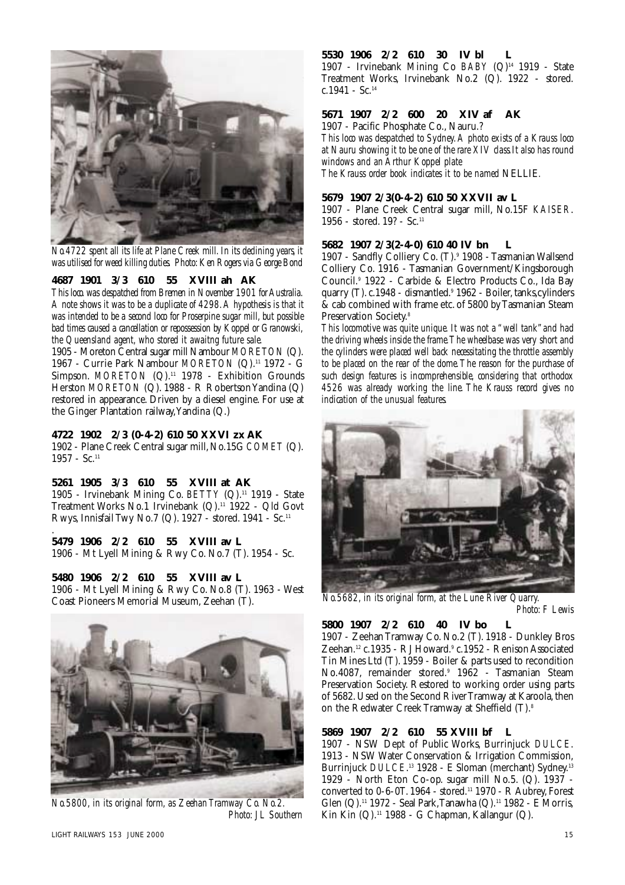

*No.4722 spent all its life at Plane Creek mill. In its declining years, it was utilised for weed killing duties. Photo:Ken Rogers via George Bond*

# **4687 1901 3/3 610 55 XVIII ah AK**

*This loco.was despatched from Bremen in November 1901 for Australia. A note shows it was to be a duplicate of 4298.A hypothesis is that it was intended to be a second loco for Proserpine sugar mill, but possible bad times caused a cancellation or repossession by Koppel or Granowski, the Queensland agent, who stored it awaitng future sale.*

1905 - Moreton Central sugar mill Nambour *MORETON* (Q). 1967 - Currie Park Nambour *MORETON* (Q).11 1972 - G Simpson. *MORETON* (Q).<sup>11</sup> 1978 - Exhibition Grounds Herston *MORETON* (Q). 1988 - R Robertson Yandina (Q) restored in appearance. Driven by a diesel engine. For use at the Ginger Plantation railway,Yandina (Q.)

## **4722 1902 2/3 (0-4-2) 610 50 XXVI zx AK**

1902 - Plane Creek Central sugar mill,No.15G *COMET* (Q).  $1957 - Sc.<sup>11</sup>$ 

# **5261 1905 3/3 610 55 XVIII at AK**

1905 - Irvinebank Mining Co. *BETTY* (Q).11 1919 - State Treatment Works No.1 Irvinebank (Q).<sup>11</sup> 1922 - Qld Govt Rwys, Innisfail Twy No.7 (Q). 1927 - stored. 1941 - Sc.11

#### . **5479 1906 2/2 610 55 XVIII av L**

1906 - Mt Lyell Mining & Rwy Co. No.7 (T). 1954 - Sc.

### **5480 1906 2/2 610 55 XVIII av L**

1906 - Mt Lyell Mining & Rwy Co. No.8 (T). 1963 - West Coast Pioneers Memorial Museum, Zeehan (T).



*No.5800, in its original form, as Zeehan Tramway Co. No.2. Photo: J L Southern*

#### **5530 1906 2/2 610 30 IV bl L**

1907 - Irvinebank Mining Co *BABY* (Q)14 1919 - State Treatment Works, Irvinebank No.2 (Q). 1922 - stored. c.1941 - Sc. $^{14}$ 

#### **5671 1907 2/2 600 20 XIV af AK**

1907 - Pacific Phosphate Co., Nauru.? *This loco was despatched to Sydney.A photo exists of a Krauss loco*

*at Nauru showing it to be one of the rare XIV class.It also has round windows and an Arthur Koppel plate*

*The Krauss order book indicates it to be named* NELLIE*.*

#### **5679 1907 2/3(0-4-2) 610 50 XXVII av L**

1907 - Plane Creek Central sugar mill, No.15F *KAISER*. 1956 - stored. 19? - Sc.<sup>11</sup>

#### **5682 1907 2/3(2-4-0) 610 40 IV bn L**

1907 - Sandfly Colliery Co. (T).9 1908 - Tasmanian Wallsend Colliery Co. 1916 - Tasmanian Government/Kingsborough Council.9 1922 - Carbide & Electro Products Co., Ida Bay quarry (T). c.1948 - dismantled.<sup>9</sup> 1962 - Boiler, tanks, cylinders & cab combined with frame etc. of 5800 by Tasmanian Steam Preservation Society.8

*This locomotive was quite unique. It was not a "well tank"and had the driving wheels inside the frame.The wheelbase was very short and the cylinders were placed well back necessitating the throttle assembly to be placed on the rear of the dome.The reason for the purchase of such design features is incomprehensible, considering that orthodox 4526 was already working the line. The Krauss record gives no indication of the unusual features.*



*No.5682, in its original form, at the Lune River Quarry. Photo: F Lewis*

#### **5800 1907 2/2 610 40 IV bo L**

1907 - Zeehan Tramway Co. No.2 (T). 1918 - Dunkley Bros Zeehan.<sup>12</sup> c.1935 - RJ Howard.<sup>9</sup> c.1952 - Renison Associated Tin Mines Ltd (T). 1959 - Boiler & parts used to recondition No.4087, remainder stored.<sup>9</sup> 1962 - Tasmanian Steam Preservation Society. Restored to working order using parts of 5682. Used on the Second River Tramway at Karoola, then on the Redwater Creek Tramway at Sheffield (T).8

## **5869 1907 2/2 610 55 XVIII bf L**

1907 - NSW Dept of Public Works, Burrinjuck *DULCE*. 1913 - NSW Water Conservation & Irrigation Commission, Burrinjuck *DULCE*. <sup>13</sup> 1928 - E Sloman (merchant) Sydney.13 1929 - North Eton Co-op. sugar mill No.5. (Q). 1937 converted to 0-6-0T. 1964 - stored.<sup>11</sup> 1970 - R Aubrey, Forest Glen (Q).11 1972 - Seal Park,Tanawha (Q).11 1982 - E Morris, Kin Kin  $(Q)$ .<sup>11</sup> 1988 - G Chapman, Kallangur  $(Q)$ .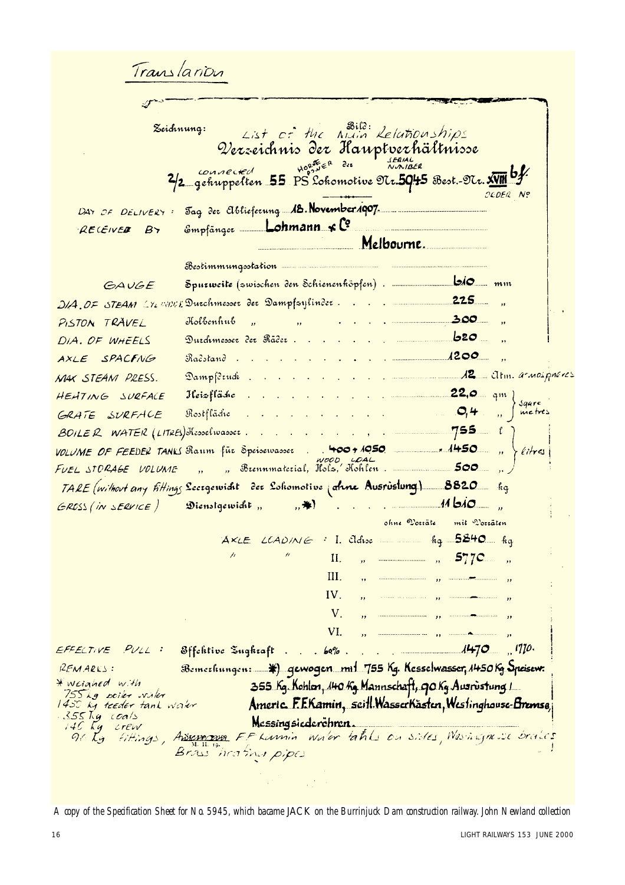Translanon List of the Night Lelationships<br>Qerseichnis der Hauptverhältnisse Zeichnung:  $H_{0,2}^{0,1}E_{\epsilon}^{R}$  dee **SERIAL**<br>NNIBER connected 2/2 gehuppelten 55 PS Lokomotive OUr.5045 Best. OUr. XVIII OLDER Nº Jag der Ablieferung **18. November 1907** DAY OF DELIVERY : Empfänger \_\_ Lohmann < Co RECEIVED BY Melbourne. Bestimmungsstation  $\mathsf{bio}_{\mathsf{m}\mathfrak{m}}$ GAUGE DIA, OF STEAM LYLWING Durchmesser der Dampfsylinder.  $300$ Kolbenhub PISTON TRAVEL  $\overline{u}$ Durchmesser der Räder DIA. OF WHEELS  $\frac{1200}{ }$ AXLE SPACFNG Račstand. 12 Altm. armospheres Dampfdeuch MAX STEAM PRESS.  $22,0$  qm 1 HEHTING SURFACE Heizfläche  $\mathcal{L}^{\text{max}}$  $\mathbb{R}^2$ Saure  $O, 4$ metres GRATE SURFACE Rostfläche 755 1  $\mathcal{L}_{\text{max}}$  , and an analysis are also as BOILER WATER (LITRES) Hesselwasser. والترابيب المرابط المرابط VOLUME OF FEEDER TANKS Raum für Speisewasser . . 400 + 1050  $.4450$ litres a 1000 004<br>. Brennmaterial, Itslz, Hohlen .  $500$ FUEL STORAGE VOLUME TARE (without any fittings Secrepcividit der Soliomotive (aline Ausrustung) 8820 fig  $\overline{1460}$ ,  $\overline{1460}$ ,  $\overline{140}$ ,  $\overline{140}$  $\mathfrak{D}$ ienstgewicht, , ,  $\mathcal{H}$ GROSS (IN SERVICE) ohne Voziäte mit Vozzäten  $AXLE$   $LCAD/N \leq 1$ . Eldise in the  $5240$  hg  $II.$  $\theta$  and the component of  $\theta$  $577C$  $III.$ IV.  $\mathbf{u}$  $V_{-}$ VI. للساد وود المستشمستين المنادوق EFFECTIVE PULL: Bemechungen: 4) qewogen mit 755 kg. Kesselwasser, 1450 kg Speisew. REMARKS: \* weighed with 355 Kg. Kohlen, 140 Kg Mannschaft, 90 Kg Ausrustung 1  $755kg$  poiler vialer Americ F.F.Kamin, seitl.WasserKästen, Westinghouse-Bremse 1450 kg teeder tank water 355 Kg coals Messingsiederchren. 140 Kg -crew<br>-910 Kg -fiftir crew<br>Fittings, Adressman F.F. Larmin water takks on sides, Washinghouse braces Brass heating pipes

*A copy of the Specification Sheet for No. 5945, which bacame* JACK *on the Burrinjuck Dam construction railway. John Newland collection*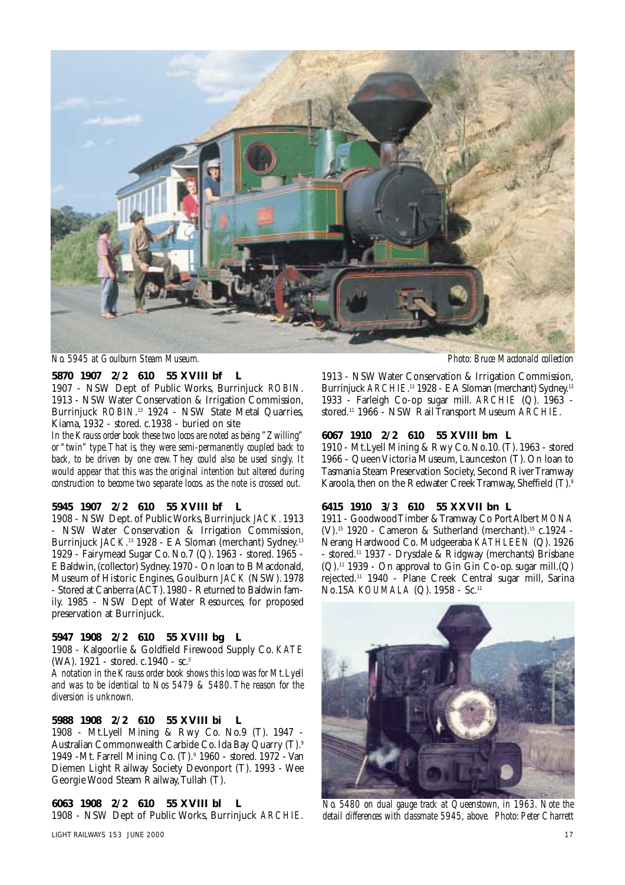

*No. 5945 at Goulburn Steam Museum. Photo: Bruce Macdonald collection*

## **5870 1907 2/2 610 55 XVIII bf L**

1907 - NSW Dept of Public Works, Burrinjuck *ROBIN*. 1913 - NSW Water Conservation & Irrigation Commission, Burrinjuck *ROBIN*. <sup>13</sup> 1924 - NSW State Metal Quarries, Kiama, 1932 - stored. c.1938 - buried on site

*In the Krauss order book these two locos are noted as being "Zwilling" or "twin" type.That is, they were semi-permanently coupled back to back, to be driven by one crew. They could also be used singly. It would appear that this was the original intention but altered during construction to become two separate locos. as the note is crossed out.*

#### **5945 1907 2/2 610 55 XVIII bf L**

1908 - NSW Dept. of Public Works, Burrinjuck *JACK*. 1913 - NSW Water Conservation & Irrigation Commission, Burrinjuck *JACK*. <sup>13</sup> 1928 - E A Sloman (merchant) Sydney.13 1929 - Fairymead Sugar Co. No.7 (Q). 1963 - stored. 1965 - E Baldwin,(collector) Sydney.1970 - On loan to B Macdonald, Museum of Historic Engines, Goulburn *JACK* (NSW). 1978 - Stored at Canberra (ACT).1980 - Returned to Baldwin family. 1985 - NSW Dept of Water Resources, for proposed preservation at Burrinjuck.

## **5947 1908 2/2 610 55 XVIII bg L**

1908 - Kalgoorlie & Goldfield Firewood Supply Co. *KATE* (WA). 1921 - stored. c.1940 - sc.5

*A notation in the Krauss order book shows this loco was for Mt.Lyell and was to be identical to Nos 5479 & 5480.The reason for the diversion is unknown.*

## **5988 1908 2/2 610 55 XVIII bi L**

1908 - Mt.Lyell Mining & Rwy Co. No.9 (T). 1947 - Australian Commonwealth Carbide Co. Ida Bay Quarry (T).9 1949 -Mt. Farrell Mining Co. (T).9 1960 - stored. 1972 - Van Diemen Light Railway Society Devonport (T). 1993 - Wee Georgie Wood Steam Railway,Tullah (T).

## **6063 1908 2/2 610 55 XVIII bl L**

1908 - NSW Dept of Public Works, Burrinjuck *ARCHIE*.

1913 - NSW Water Conservation & Irrigation Commission, Burrinjuck *ARCHIE*. <sup>13</sup> 1928 - EA Sloman (merchant) Sydney.13 1933 - Farleigh Co-op sugar mill. *ARCHIE* (Q). 1963 stored.11 1966 - NSW Rail Transport Museum *ARCHIE*.

#### **6067 1910 2/2 610 55 XVIII bm L**

1910 - Mt.Lyell Mining & Rwy Co.No.10.(T).1963 - stored 1966 - Queen Victoria Museum, Launceston (T). On loan to Tasmania Steam Preservation Society, Second River Tramway Karoola, then on the Redwater Creek Tramway, Sheffield (T).<sup>8</sup>

#### **6415 1910 3/3 610 55 XXVII bn L**

1911 - Goodwood Timber & Tramway Co Port Albert *MONA* (V).15 1920 - Cameron & Sutherland (merchant).15 c.1924 - Nerang Hardwood Co. Mudgeeraba *KATHLEEN* (Q). 1926 - stored.11 1937 - Drysdale & Ridgway (merchants) Brisbane  $(Q)$ .<sup>11</sup> 1939 - On approval to Gin Gin Co-op. sugar mill. $(Q)$ rejected.11 1940 - Plane Creek Central sugar mill, Sarina No.15A *KOUMALA* (Q). 1958 - Sc.11



*No. 5480 on dual gauge track at Queenstown, in 1963. Note the detail differences with classmate 5945, above. Photo: Peter Charrett*